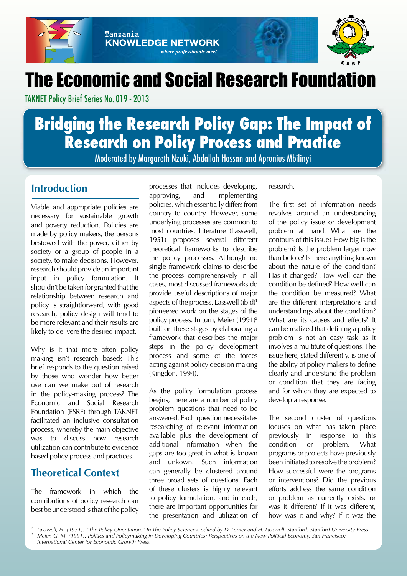



# **The Economic and Social Research Foundation**

..where professionals meet.

TAKNET Policy Brief Series No. 019 - 2013

Tanzania

**KNOWLEDGE NETWORK** 

# **Bridging the Research Policy Gap: The Impact of Research on Policy Process and Practice**

Moderated by Margareth Nzuki, Abdallah Hassan and Apronius Mbilinyi

## **Introduction**

Viable and appropriate policies are necessary for sustainable growth and poverty reduction. Policies are made by policy makers, the persons bestowed with the power, either by society or a group of people in a society, to make decisions. However, research should provide an important input in policy formulation. It shouldn't be taken for granted that the relationship between research and policy is straightforward, with good research, policy design will tend to be more relevant and their results are likely to delivere the desired impact.

Why is it that more often policy making isn't research based? This brief responds to the question raised by those who wonder how better use can we make out of research in the policy-making process? The Economic and Social Research Foundation (ESRF) through TAKNET facilitated an inclusive consultation process, whereby the main objective was to discuss how research utilization can contribute to evidence based policy process and practices.

## **Theoretical Context**

The framework in which the contributions of policy research can best be understood is that of the policy

processes that includes developing, approving, and implementing policies, which essentially differs from country to country. However, some underlying processes are common to most countries. Literature (Lasswell, 1951) proposes several different theoretical frameworks to describe the policy processes. Although no single framework claims to describe the process comprehensively in all cases, most discussed frameworks do provide useful descriptions of major aspects of the process. Lasswell (ibid)1 pioneered work on the stages of the policy process. In turn, Meier (1991)<sup>2</sup> built on these stages by elaborating a framework that describes the major steps in the policy development process and some of the forces acting against policy decision making (Kingdon, 1994).

As the policy formulation process begins, there are a number of policy problem questions that need to be answered. Each question necessitates researching of relevant information available plus the development of additional information when the gaps are too great in what is known and unkown. Such information can generally be clustered around three broad sets of questions. Each of these clusters is highly relevant to policy formulation, and in each, there are important opportunities for the presentation and utilization of

research.

The first set of information needs revolves around an understanding of the policy issue or development problem at hand. What are the contours of this issue? How big is the problem? Is the problem larger now than before? Is there anything known about the nature of the condition? Has it changed? How well can the condition be defined? How well can the condition be measured? What are the different interpretations and understandings about the condition? What are its causes and effects? It can be realized that defining a policy problem is not an easy task as it involves a multitute of questions. The issue here, stated differently, is one of the ability of policy makers to define clearly and understand the problem or condition that they are facing and for which they are expected to develop a response.

The second cluster of questions focuses on what has taken place previously in response to this condition or problem. What programs or projects have previously been initiated to resolve the problem? How successful were the programs or interventions? Did the previous efforts address the same condition or problem as currently exists, or was it different? If it was different, how was it and why? If it was the

*<sup>1</sup> Lasswell, H. (1951). "The Policy Orientation." In The Policy Sciences, edited by D. Lerner and H. Lasswell. Stanford: Stanford University Press. 2 Meier, G. M. (1991). Politics and Policymaking in Developing Countries: Perspectives on the New Political Economy. San Francisco: International Center for Economic Growth Press.*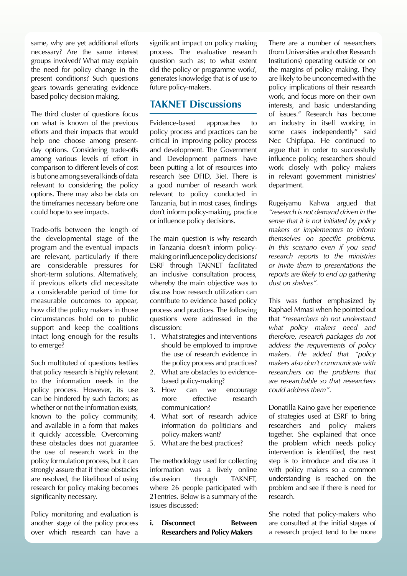same, why are yet additional efforts necessary? Are the same interest groups involved? What may explain the need for policy change in the present conditions? Such questions gears towards generating evidence based policy decision making.

The third cluster of questions focus on what is known of the previous efforts and their impacts that would help one choose among presentday options. Considering trade-offs among various levels of effort in comparison to different levels of cost is but one among several kinds of data relevant to considering the policy options. There may also be data on the timeframes necessary before one could hope to see impacts.

Trade-offs between the length of the developmental stage of the program and the eventual impacts are relevant, particularly if there are considerable pressures for short-term solutions. Alternatively, if previous efforts did necessitate a considerable period of time for measurable outcomes to appear, how did the policy makers in those circumstances hold on to public support and keep the coalitions intact long enough for the results to emerge?

Such multituted of questions testfies that policy research is highly relevant to the information needs in the policy process. However, its use can be hindered by such factors; as whether or not the information exists, known to the policy community, and available in a form that makes it quickly accessible. Overcoming these obstacles does not guarantee the use of research work in the policy formulation process, but it can strongly assure that if these obstacles are resolved, the likelihood of using research for policy making becomes significanlty necessary.

Policy monitoring and evaluation is another stage of the policy process over which research can have a

significant impact on policy making process. The evaluative research question such as; to what extent did the policy or programme work?, generates knowledge that is of use to future policy-makers.

### **TAKNET Discussions**

Evidence-based approaches to policy process and practices can be critical in improving policy process and development. The Government and Development partners have been putting a lot of resources into research (see DFID, 3ie). There is a good number of research work relevant to policy conducted in Tanzania, but in most cases, findings don't inform policy-making, practice or influence policy decisions.

The main question is why research in Tanzania doesn't inform policymaking or influence policy decisions? ESRF through TAKNET facilitated an inclusive consultation process, whereby the main objective was to discuss how research utilization can contribute to evidence based policy process and practices. The following questions were addressed in the discussion:

- 1. What strategies and interventions should be employed to improve the use of research evidence in the policy process and practices?
- 2. What are obstacles to evidencebased policy-making?
- 3. How can we encourage more effective research communication?
- 4. What sort of research advice information do politicians and policy-makers want?
- 5. What are the best practices?

The methodology used for collecting information was a lively online discussion through TAKNET, where 26 people participated with 21entries. Below is a summary of the issues discussed:

**i.** Disconnect **Between Researchers and Policy Makers**

There are a number of researchers (from Universities and other Research Institutions) operating outside or on the margins of policy making. They are likely to be unconcerned with the policy implications of their research work, and focus more on their own interests, and basic understanding of issues." Research has become an industry in itself working in some cases independently" said Nec Chipfupa. He continued to argue that in order to successfully influence policy, researchers should work closely with policy makers in relevant government ministries/ department.

Rugeiyamu Kahwa argued that *"research is not demand driven in the sense that it is not initiated by policy makers or implementers to inform themselves on specific problems. In this scenario even if you send research reports to the ministries or invite them to presentations the reports are likely to end up gathering dust on shelves".*

This was further emphasized by Raphael Mmasi when he pointed out that *"researchers do not understand what policy makers need and therefore, research packages do not address the requirements of policy makers. He added that "policy makers also don't communicate with researchers on the problems that are researchable so that researchers could address them"*.

Donatilla Kaino gave her experience of strategies used at ESRF to bring researchers and policy makers together. She explained that once the problem which needs policy intervention is identified, the next step is to introduce and discuss it with policy makers so a common understanding is reached on the problem and see if there is need for research.

She noted that policy-makers who are consulted at the initial stages of a research project tend to be more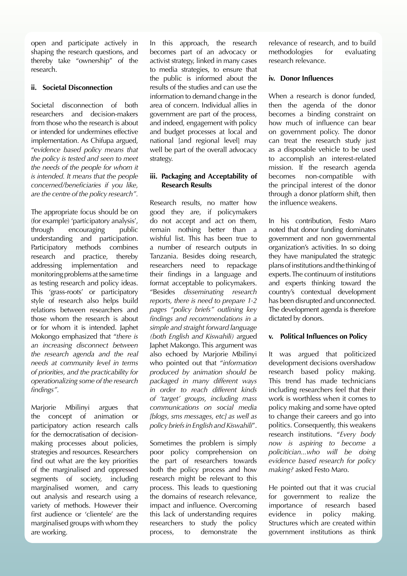open and participate actively in shaping the research questions, and thereby take "ownership" of the research.

#### **ii. Societal Disconnection**

Societal disconnection of both researchers and decision-makers from those who the research is about or intended for undermines effective implementation. As Chifupa argued, "e*vidence based policy means that the policy is tested and seen to meet the needs of the people for whom it is intended. It means that the people concerned/beneficiaries if you like, are the centre of the policy research".*

The appropriate focus should be on (for example) 'participatory analysis', through encouraging public understanding and participation. Participatory methods combines research and practice, thereby addressing implementation and monitoring problems at the same time as testing research and policy ideas. This 'grass-roots' or participatory style of research also helps build relations between researchers and those whom the research is about or for whom it is intended. Japhet Mokongo emphasized that "*there is an increasing disconnect between the research agenda and the real needs at community level in terms of priorities, and the practicability for operationalizing some of the research findings".*

Marjorie Mbilinyi argues that the concept of animation or participatory action research calls for the democratisation of decisionmaking processes about policies, strategies and resources. Researchers find out what are the key priorities of the marginalised and oppressed segments of society, including marginalised women, and carry out analysis and research using a variety of methods. However their first audience or 'clientele' are the marginalised groups with whom they are working.

In this approach, the research becomes part of an advocacy or activist strategy, linked in many cases to media strategies, to ensure that the public is informed about the results of the studies and can use the information to demand change in the area of concern. Individual allies in government are part of the process, and indeed, engagement with policy and budget processes at local and national [and regional level] may well be part of the overall advocacy strategy.

#### **iii. Packaging and Acceptability of Research Results**

Research results, no matter how good they are, if policymakers do not accept and act on them, remain nothing better than a wishful list. This has been true to a number of research outputs in Tanzania. Besides doing research, researchers need to repackage their findings in a language and format acceptable to policymakers. "Besides *disseminating research reports, there is need to prepare 1-2 pages "policy briefs" outlining key findings and recommendations in a simple and straight forward language (both English and Kiswahili)* argued Japhet Makongo. This argument was also echoed by Marjorie Mbilinyi who pointed out that "*information produced by animation should be packaged in many different ways in order to reach different kinds of 'target' groups, including mass communications on social media [blogs, sms messages, etc] as well as policy briefs in English and Kiswahili*".

Sometimes the problem is simply poor policy comprehension on the part of researchers towards both the policy process and how research might be relevant to this process. This leads to questioning the domains of research relevance, impact and influence. Overcoming this lack of understanding requires researchers to study the policy process, to demonstrate the

relevance of research, and to build methodologies for evaluating research relevance.

#### **iv. Donor Influences**

When a research is donor funded. then the agenda of the donor becomes a binding constraint on how much of influence can bear on government policy. The donor can treat the research study just as a disposable vehicle to be used to accomplish an interest-related mission. If the research agenda becomes non-compatible with the principal interest of the donor through a donor platform shift, then the influence weakens.

In his contribution, Festo Maro noted that donor funding dominates government and non governmental organization's activities. In so doing they have manipulated the strategic plans of institutions and the thinking of experts. The continuum of institutions and experts thinking toward the country's contextual development has been disrupted and unconnected. The development agenda is therefore dictated by donors.

#### **v. Political Influences on Policy**

It was argued that politicized development decisions overshadow research based policy making. This trend has made technicians including researchers feel that their work is worthless when it comes to policy making and some have opted to change their careers and go into politics. Consequently, this weakens research institutions. "*Every body now is aspiring to become a policitician...who will be doing evidence based research for policy making?* asked Festo Maro.

He pointed out that it was crucial for government to realize the importance of research based evidence in policy making. Structures which are created within government institutions as think